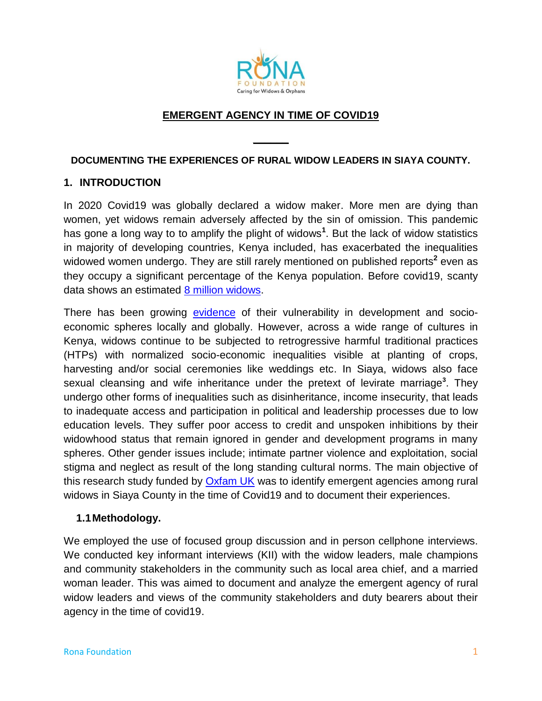

# **EMERGENT AGENCY IN TIME OF COVID19**

#### **DOCUMENTING THE EXPERIENCES OF RURAL WIDOW LEADERS IN SIAYA COUNTY.**

**\_\_\_\_\_\_**

### **1. INTRODUCTION**

In 2020 Covid19 was globally declared a widow maker. More men are dying than women, yet widows remain adversely affected by the sin of omission. This pandemic has gone a long way to to amplify the plight of widows**<sup>1</sup>** . But the lack of widow statistics in majority of developing countries, Kenya included, has exacerbated the inequalities widowed women undergo. They are still rarely mentioned on published reports<sup>2</sup> even as they occupy a significant percentage of the Kenya population. Before covid19, scanty data shows an estimated [8 million widows.](https://journals.scholarpublishing.org/index.php/ASSRJ/article/view/7249)

There has been growing [evidence](https://views-voices.oxfam.org.uk/2021/07/covid19-widowhood-agency-exposed-burdens-culture-gender-allies/) of their vulnerability in development and socioeconomic spheres locally and globally. However, across a wide range of cultures in Kenya, widows continue to be subjected to retrogressive harmful traditional practices (HTPs) with normalized socio-economic inequalities visible at planting of crops, harvesting and/or social ceremonies like weddings etc. In Siaya, widows also face sexual cleansing and wife inheritance under the pretext of levirate marriage<sup>3</sup>. They undergo other forms of inequalities such as disinheritance, income insecurity, that leads to inadequate access and participation in political and leadership processes due to low education levels. They suffer poor access to credit and unspoken inhibitions by their widowhood status that remain ignored in gender and development programs in many spheres. Other gender issues include; intimate partner violence and exploitation, social stigma and neglect as result of the long standing cultural norms. The main objective of this research study funded by [Oxfam UK](https://oxfamapps.org/fp2p/category/emergent-agency/) was to identify emergent agencies among rural widows in Siaya County in the time of Covid19 and to document their experiences.

### **1.1Methodology.**

We employed the use of focused group discussion and in person cellphone interviews. We conducted key informant interviews (KII) with the widow leaders, male champions and community stakeholders in the community such as local area chief, and a married woman leader. This was aimed to document and analyze the emergent agency of rural widow leaders and views of the community stakeholders and duty bearers about their agency in the time of covid19.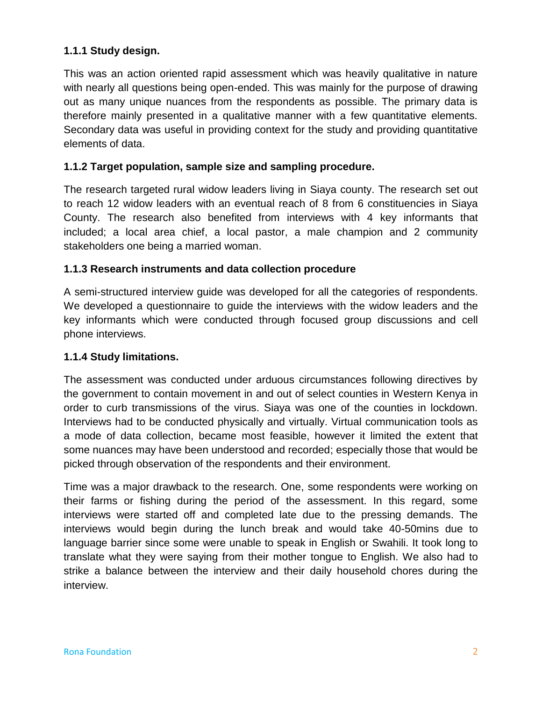# **1.1.1 Study design.**

This was an action oriented rapid assessment which was heavily qualitative in nature with nearly all questions being open-ended. This was mainly for the purpose of drawing out as many unique nuances from the respondents as possible. The primary data is therefore mainly presented in a qualitative manner with a few quantitative elements. Secondary data was useful in providing context for the study and providing quantitative elements of data.

# **1.1.2 Target population, sample size and sampling procedure.**

The research targeted rural widow leaders living in Siaya county. The research set out to reach 12 widow leaders with an eventual reach of 8 from 6 constituencies in Siaya County. The research also benefited from interviews with 4 key informants that included; a local area chief, a local pastor, a male champion and 2 community stakeholders one being a married woman.

### **1.1.3 Research instruments and data collection procedure**

A semi-structured interview guide was developed for all the categories of respondents. We developed a questionnaire to guide the interviews with the widow leaders and the key informants which were conducted through focused group discussions and cell phone interviews.

### **1.1.4 Study limitations.**

The assessment was conducted under arduous circumstances following directives by the government to contain movement in and out of select counties in Western Kenya in order to curb transmissions of the virus. Siaya was one of the counties in lockdown. Interviews had to be conducted physically and virtually. Virtual communication tools as a mode of data collection, became most feasible, however it limited the extent that some nuances may have been understood and recorded; especially those that would be picked through observation of the respondents and their environment.

Time was a major drawback to the research. One, some respondents were working on their farms or fishing during the period of the assessment. In this regard, some interviews were started off and completed late due to the pressing demands. The interviews would begin during the lunch break and would take 40-50mins due to language barrier since some were unable to speak in English or Swahili. It took long to translate what they were saying from their mother tongue to English. We also had to strike a balance between the interview and their daily household chores during the interview.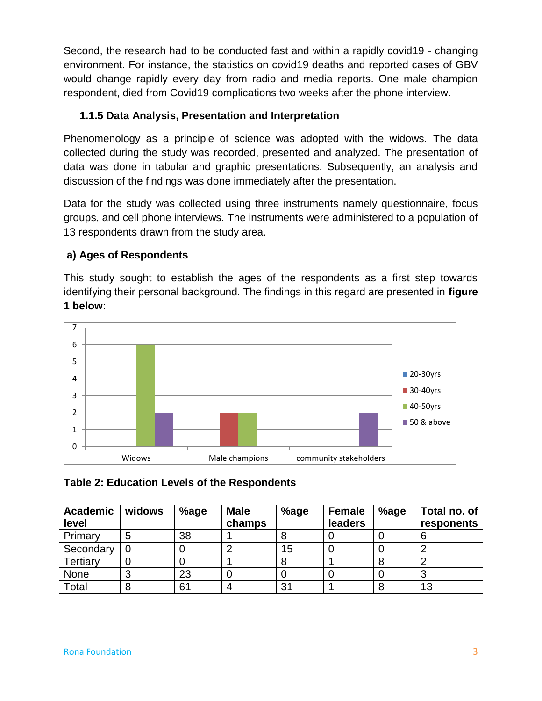Second, the research had to be conducted fast and within a rapidly covid19 - changing environment. For instance, the statistics on covid19 deaths and reported cases of GBV would change rapidly every day from radio and media reports. One male champion respondent, died from Covid19 complications two weeks after the phone interview.

# **1.1.5 Data Analysis, Presentation and Interpretation**

Phenomenology as a principle of science was adopted with the widows. The data collected during the study was recorded, presented and analyzed. The presentation of data was done in tabular and graphic presentations. Subsequently, an analysis and discussion of the findings was done immediately after the presentation.

Data for the study was collected using three instruments namely questionnaire, focus groups, and cell phone interviews. The instruments were administered to a population of 13 respondents drawn from the study area.

# **a) Ages of Respondents**

This study sought to establish the ages of the respondents as a first step towards identifying their personal background. The findings in this regard are presented in **figure 1 below**:



# **Table 2: Education Levels of the Respondents**

| <b>Academic</b><br>level | widows | %age | <b>Male</b><br>champs | %age | <b>Female</b><br>leaders | %age | Total no. of<br>responents |
|--------------------------|--------|------|-----------------------|------|--------------------------|------|----------------------------|
| Primary                  |        | 38   |                       |      |                          |      |                            |
| Secondary                | 0      |      |                       | 15   |                          |      |                            |
| Tertiary                 |        |      |                       | 8    |                          |      |                            |
| None                     |        | 23   |                       |      |                          |      |                            |
| Total                    |        | 61   |                       | 31   |                          |      | 13                         |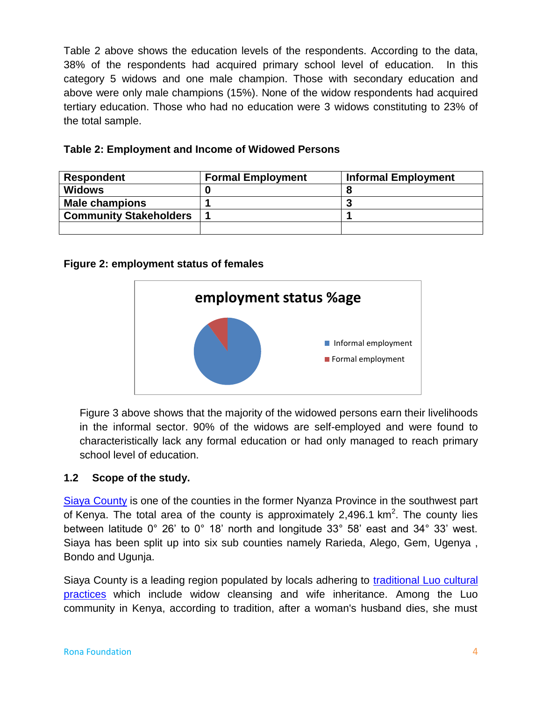Table 2 above shows the education levels of the respondents. According to the data, 38% of the respondents had acquired primary school level of education. In this category 5 widows and one male champion. Those with secondary education and above were only male champions (15%). None of the widow respondents had acquired tertiary education. Those who had no education were 3 widows constituting to 23% of the total sample.

| Table 2: Employment and Income of Widowed Persons |
|---------------------------------------------------|
|---------------------------------------------------|

| <b>Respondent</b>             | <b>Formal Employment</b> | <b>Informal Employment</b> |
|-------------------------------|--------------------------|----------------------------|
| <b>Widows</b>                 |                          |                            |
| <b>Male champions</b>         |                          |                            |
| <b>Community Stakeholders</b> |                          |                            |
|                               |                          |                            |

### **Figure 2: employment status of females**



Figure 3 above shows that the majority of the widowed persons earn their livelihoods in the informal sector. 90% of the widows are self-employed and were found to characteristically lack any formal education or had only managed to reach primary school level of education.

# **1.2 Scope of the study.**

[Siaya County](https://web.archive.org/web/20131231063306/http:/www.siayacounty.com/economy.php) is one of the counties in the former Nyanza Province in the southwest part of Kenya. The total area of the county is approximately 2,496.1 km<sup>2</sup>. The county lies between latitude 0° 26" to 0° 18" north and longitude 33° 58" east and 34° 33" west. Siaya has been split up into six sub counties namely Rarieda, Alego, Gem, Ugenya , Bondo and Ugunja.

Siaya County is a leading region populated by locals adhering to [traditional Luo cultural](https://www.ncbi.nlm.nih.gov/pmc/articles/PMC4074366/)  [practices](https://www.ncbi.nlm.nih.gov/pmc/articles/PMC4074366/) which include widow cleansing and wife inheritance. Among the Luo community in Kenya, according to tradition, after a woman's husband dies, she must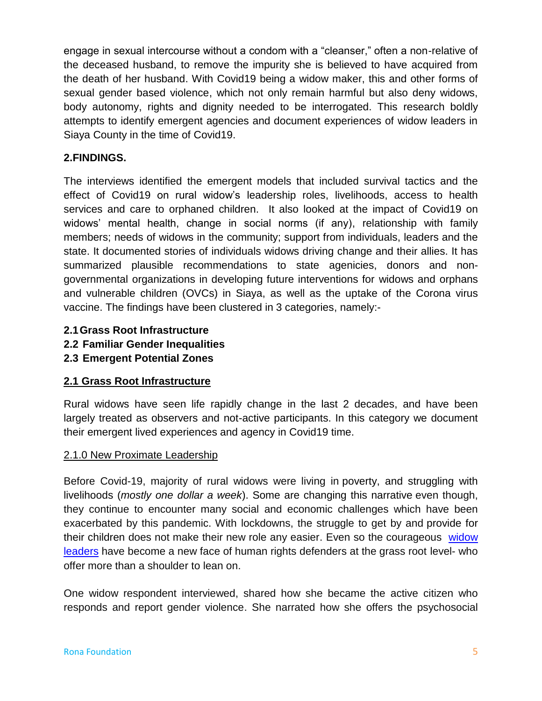engage in sexual intercourse without a condom with a "cleanser," often a non-relative of the deceased husband, to remove the impurity she is believed to have acquired from the death of her husband. With Covid19 being a widow maker, this and other forms of sexual gender based violence, which not only remain harmful but also deny widows, body autonomy, rights and dignity needed to be interrogated. This research boldly attempts to identify emergent agencies and document experiences of widow leaders in Siaya County in the time of Covid19.

# **2.FINDINGS.**

The interviews identified the emergent models that included survival tactics and the effect of Covid19 on rural widow"s leadership roles, livelihoods, access to health services and care to orphaned children. It also looked at the impact of Covid19 on widows" mental health, change in social norms (if any), relationship with family members; needs of widows in the community; support from individuals, leaders and the state. It documented stories of individuals widows driving change and their allies. It has summarized plausible recommendations to state agenicies, donors and nongovernmental organizations in developing future interventions for widows and orphans and vulnerable children (OVCs) in Siaya, as well as the uptake of the Corona virus vaccine. The findings have been clustered in 3 categories, namely:-

- **2.1Grass Root Infrastructure**
- **2.2 Familiar Gender Inequalities**
- **2.3 Emergent Potential Zones**

### **2.1 Grass Root Infrastructure**

Rural widows have seen life rapidly change in the last 2 decades, and have been largely treated as observers and not-active participants. In this category we document their emergent lived experiences and agency in Covid19 time.

### 2.1.0 New Proximate Leadership

Before Covid-19, majority of rural widows were living in poverty, and struggling with livelihoods (*mostly one dollar a week*). Some are changing this narrative even though, they continue to encounter many social and economic challenges which have been exacerbated by this pandemic. With lockdowns, the struggle to get by and provide for their children does not make their new role any easier. Even so the courageous [widow](https://views-voices.oxfam.org.uk/2021/07/covid19-widowhood-agency-exposed-burdens-culture-gender-allies/)  [leaders](https://views-voices.oxfam.org.uk/2021/07/covid19-widowhood-agency-exposed-burdens-culture-gender-allies/) have become a new face of human rights defenders at the grass root level- who offer more than a shoulder to lean on.

One widow respondent interviewed, shared how she became the active citizen who responds and report gender violence. She narrated how she offers the psychosocial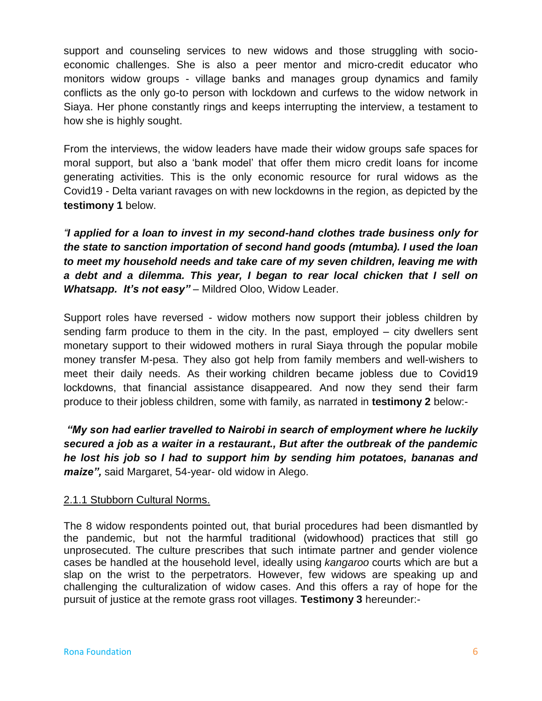support and counseling services to new widows and those struggling with socioeconomic challenges. She is also a peer mentor and micro-credit educator who monitors widow groups - village banks and manages group dynamics and family conflicts as the only go-to person with lockdown and curfews to the widow network in Siaya. Her phone constantly rings and keeps interrupting the interview, a testament to how she is highly sought.

From the interviews, the widow leaders have made their widow groups safe spaces for moral support, but also a "bank model" that offer them micro credit loans for income generating activities. This is the only economic resource for rural widows as the Covid19 - Delta variant ravages on with new lockdowns in the region, as depicted by the **testimony 1** below.

*"I applied for a loan to invest in my second-hand clothes trade business only for the state to sanction importation of second hand goods (mtumba). I used the loan to meet my household needs and take care of my seven children, leaving me with a debt and a dilemma. This year, I began to rear local chicken that I sell on Whatsapp. It's not easy" –* Mildred Oloo, Widow Leader.

Support roles have reversed - widow mothers now support their jobless children by sending farm produce to them in the city. In the past, employed – city dwellers sent monetary support to their widowed mothers in rural Siaya through the popular mobile money transfer M-pesa. They also got help from family members and well-wishers to meet their daily needs. As their working children became jobless due to Covid19 lockdowns, that financial assistance disappeared. And now they send their farm produce to their jobless children, some with family, as narrated in **testimony 2** below:-

*"My son had earlier travelled to Nairobi in search of employment where he luckily secured a job as a waiter in a restaurant., But after the outbreak of the pandemic he lost his job so I had to support him by sending him potatoes, bananas and maize",* said Margaret, 54-year- old widow in Alego.

# 2.1.1 Stubborn Cultural Norms.

The 8 widow respondents pointed out, that burial procedures had been dismantled by the pandemic, but not the harmful traditional (widowhood) practices that still go unprosecuted. The culture prescribes that such intimate partner and gender violence cases be handled at the household level, ideally using *kangaroo* courts which are but a slap on the wrist to the perpetrators. However, few widows are speaking up and challenging the culturalization of widow cases. And this offers a ray of hope for the pursuit of justice at the remote grass root villages. **Testimony 3** hereunder:-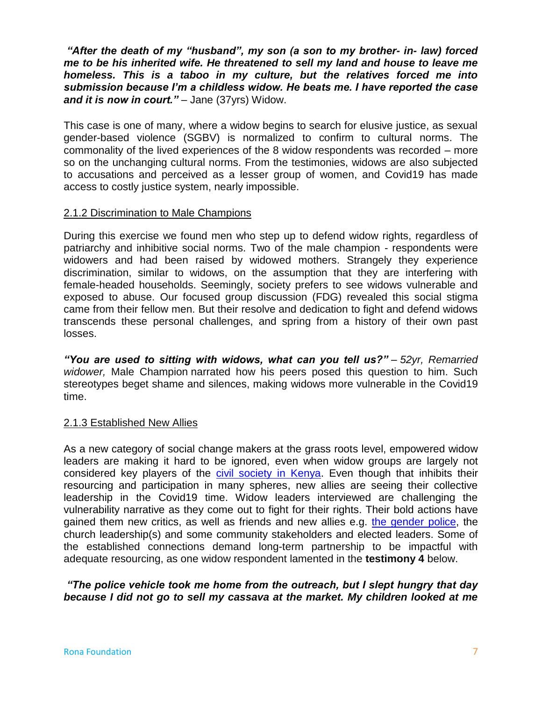*"After the death of my "husband", my son (a son to my brother- in- law) forced me to be his inherited wife. He threatened to sell my land and house to leave me homeless. This is a taboo in my culture, but the relatives forced me into submission because I'm a childless widow. He beats me. I have reported the case and it is now in court."* – Jane (37yrs) Widow.

This case is one of many, where a widow begins to search for elusive justice, as sexual gender-based violence (SGBV) is normalized to confirm to cultural norms. The commonality of the lived experiences of the 8 widow respondents was recorded – more so on the unchanging cultural norms. From the testimonies, widows are also subjected to accusations and perceived as a lesser group of women, and Covid19 has made access to costly justice system, nearly impossible.

#### 2.1.2 Discrimination to Male Champions

During this exercise we found men who step up to defend widow rights, regardless of patriarchy and inhibitive social norms. Two of the male champion - respondents were widowers and had been raised by widowed mothers. Strangely they experience discrimination, similar to widows, on the assumption that they are interfering with female-headed households. Seemingly, society prefers to see widows vulnerable and exposed to abuse. Our focused group discussion (FDG) revealed this social stigma came from their fellow men. But their resolve and dedication to fight and defend widows transcends these personal challenges, and spring from a history of their own past losses.

*"You are used to sitting with widows, what can you tell us?" – 52yr, Remarried widower,* Male Champion narrated how his peers posed this question to him. Such stereotypes beget shame and silences, making widows more vulnerable in the Covid19 time.

### 2.1.3 Established New Allies

As a new category of social change makers at the grass roots level, empowered widow leaders are making it hard to be ignored, even when widow groups are largely not considered key players of the [civil society in Kenya.](https://www.afrocave.com/the-role-of-civil-society-in-kenya/) Even though that inhibits their resourcing and participation in many spheres, new allies are seeing their collective leadership in the Covid19 time. Widow leaders interviewed are challenging the vulnerability narrative as they come out to fight for their rights. Their bold actions have gained them new critics, as well as friends and new allies e.g. [the gender police,](https://www.youtube.com/watch?app=desktop&v=gfuGAqiFyxU&t=181s) the church leadership(s) and some community stakeholders and elected leaders. Some of the established connections demand long-term partnership to be impactful with adequate resourcing, as one widow respondent lamented in the **testimony 4** below.

*"The police vehicle took me home from the outreach, but I slept hungry that day because I did not go to sell my cassava at the market. My children looked at me*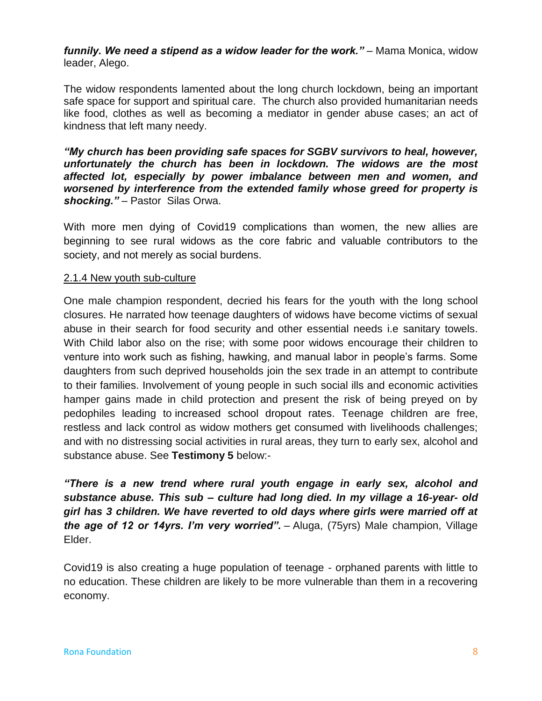*funnily. We need a stipend as a widow leader for the work." –* Mama Monica, widow leader, Alego.

The widow respondents lamented about the long church lockdown, being an important safe space for support and spiritual care. The church also provided humanitarian needs like food, clothes as well as becoming a mediator in gender abuse cases; an act of kindness that left many needy.

*"My church has been providing safe spaces for SGBV survivors to heal, however, unfortunately the church has been in lockdown. The widows are the most affected lot, especially by power imbalance between men and women, and worsened by interference from the extended family whose greed for property is shocking." –* Pastor Silas Orwa.

With more men dying of Covid19 complications than women, the new allies are beginning to see rural widows as the core fabric and valuable contributors to the society, and not merely as social burdens.

### 2.1.4 New youth sub-culture

One male champion respondent, decried his fears for the youth with the long school closures. He narrated how teenage daughters of widows have become victims of sexual abuse in their search for food security and other essential needs i.e sanitary towels. With Child labor also on the rise; with some poor widows encourage their children to venture into work such as fishing, hawking, and manual labor in people"s farms. Some daughters from such deprived households join the sex trade in an attempt to contribute to their families. Involvement of young people in such social ills and economic activities hamper gains made in child protection and present the risk of being preyed on by pedophiles leading to increased school dropout rates. Teenage children are free, restless and lack control as widow mothers get consumed with livelihoods challenges; and with no distressing social activities in rural areas, they turn to early sex, alcohol and substance abuse. See **Testimony 5** below:-

*"There is a new trend where rural youth engage in early sex, alcohol and substance abuse. This sub – culture had long died. In my village a 16-year- old girl has 3 children. We have reverted to old days where girls were married off at the age of 12 or 14yrs. I'm very worried". –* Aluga, (75yrs) Male champion, Village Elder.

Covid19 is also creating a huge population of teenage - orphaned parents with little to no education. These children are likely to be more vulnerable than them in a recovering economy.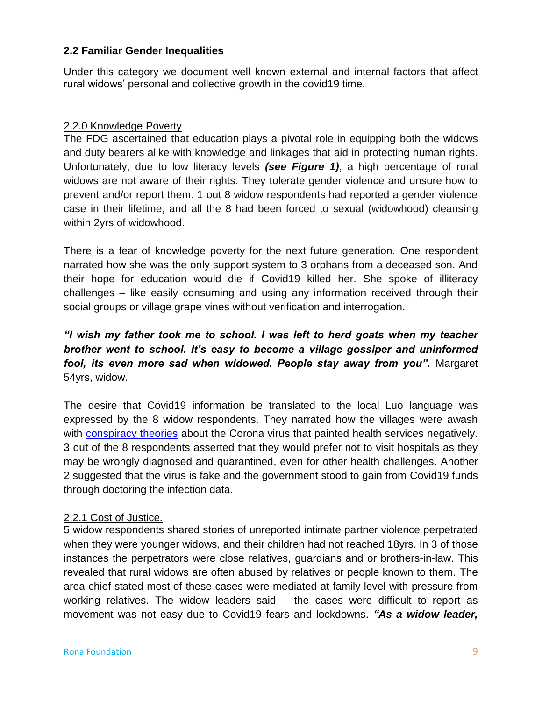### **2.2 Familiar Gender Inequalities**

Under this category we document well known external and internal factors that affect rural widows" personal and collective growth in the covid19 time.

### 2.2.0 Knowledge Poverty

The FDG ascertained that education plays a pivotal role in equipping both the widows and duty bearers alike with knowledge and linkages that aid in protecting human rights. Unfortunately, due to low literacy levels *(see Figure 1)*, a high percentage of rural widows are not aware of their rights. They tolerate gender violence and unsure how to prevent and/or report them. 1 out 8 widow respondents had reported a gender violence case in their lifetime, and all the 8 had been forced to sexual (widowhood) cleansing within 2yrs of widowhood.

There is a fear of knowledge poverty for the next future generation. One respondent narrated how she was the only support system to 3 orphans from a deceased son. And their hope for education would die if Covid19 killed her. She spoke of illiteracy challenges – like easily consuming and using any information received through their social groups or village grape vines without verification and interrogation.

# *"I wish my father took me to school. I was left to herd goats when my teacher brother went to school. It's easy to become a village gossiper and uninformed fool, its even more sad when widowed. People stay away from you".* Margaret 54yrs, widow.

The desire that Covid19 information be translated to the local Luo language was expressed by the 8 widow respondents. They narrated how the villages were awash with [conspiracy theories](https://www.ukri.org/our-work/tackling-the-impact-of-covid-19/recovery-and-rebuilding/conspiracy-theories-and-covid-19/) about the Corona virus that painted health services negatively. 3 out of the 8 respondents asserted that they would prefer not to visit hospitals as they may be wrongly diagnosed and quarantined, even for other health challenges. Another 2 suggested that the virus is fake and the government stood to gain from Covid19 funds through doctoring the infection data.

#### 2.2.1 Cost of Justice*.*

5 widow respondents shared stories of unreported intimate partner violence perpetrated when they were younger widows, and their children had not reached 18yrs. In 3 of those instances the perpetrators were close relatives, guardians and or brothers-in-law. This revealed that rural widows are often abused by relatives or people known to them. The area chief stated most of these cases were mediated at family level with pressure from working relatives. The widow leaders said – the cases were difficult to report as movement was not easy due to Covid19 fears and lockdowns. *"As a widow leader,*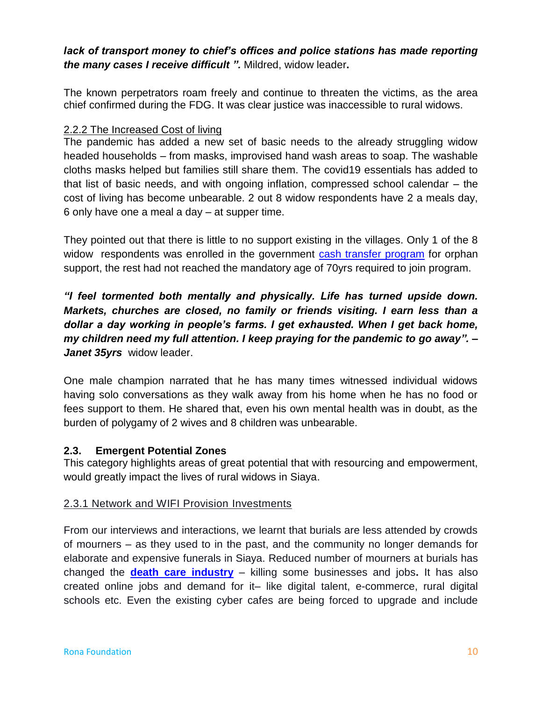# *lack of transport money to chief's offices and police stations has made reporting the many cases I receive difficult ".* Mildred, widow leader**.**

The known perpetrators roam freely and continue to threaten the victims, as the area chief confirmed during the FDG. It was clear justice was inaccessible to rural widows.

### 2.2.2 The Increased Cost of living

The pandemic has added a new set of basic needs to the already struggling widow headed households – from masks, improvised hand wash areas to soap. The washable cloths masks helped but families still share them. The covid19 essentials has added to that list of basic needs, and with ongoing inflation, compressed school calendar – the cost of living has become unbearable. 2 out 8 widow respondents have 2 a meals day, 6 only have one a meal a day – at supper time.

They pointed out that there is little to no support existing in the villages. Only 1 of the 8 widow respondents was enrolled in the government [cash transfer program](https://www.jstor.org/stable/25653103) for orphan support, the rest had not reached the mandatory age of 70yrs required to join program.

*"I feel tormented both mentally and physically. Life has turned upside down. Markets, churches are closed, no family or friends visiting. I earn less than a dollar a day working in people's farms. I get exhausted. When I get back home, my children need my full attention. I keep praying for the pandemic to go away". – Janet 35yrs* widow leader.

One male champion narrated that he has many times witnessed individual widows having solo conversations as they walk away from his home when he has no food or fees support to them. He shared that, even his own mental health was in doubt, as the burden of polygamy of 2 wives and 8 children was unbearable.

# **2.3. Emergent Potential Zones**

This category highlights areas of great potential that with resourcing and empowerment, would greatly impact the lives of rural widows in Siaya.

### 2.3.1 Network and WIFI Provision Investments

From our interviews and interactions, we learnt that burials are less attended by crowds of mourners – as they used to in the past, and the community no longer demands for elaborate and expensive funerals in Siaya. Reduced number of mourners at burials has changed the **[death care industry](https://nation.africa/kenya/news/kenyans-bury-billions-of-shillings-to-give-their-dead-kin-a-good-send-off--3297844?view=htmlamp)** – killing some businesses and jobs**.** It has also created online jobs and demand for it– like digital talent, e-commerce, rural digital schools etc. Even the existing cyber cafes are being forced to upgrade and include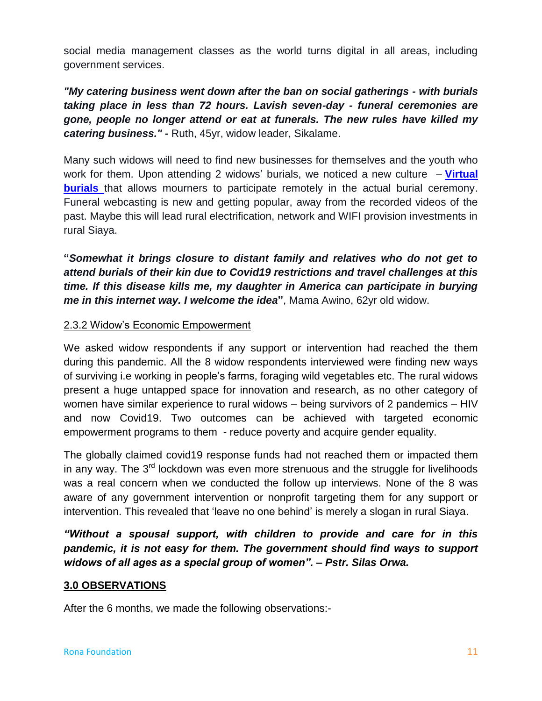social media management classes as the world turns digital in all areas, including government services.

*"My catering business went down after the ban on social gatherings - with burials taking place in less than 72 hours. Lavish seven-day - funeral ceremonies are gone, people no longer attend or eat at funerals. The new rules have killed my catering business." -* Ruth, 45yr, widow leader, Sikalame.

Many such widows will need to find new businesses for themselves and the youth who work for them. Upon attending 2 widows" burials, we noticed a new culture – **[Virtual](https://theconversation.com/amp/watching-funerals-streamed-online-offers-a-new-way-to-deal-with-death-79389)  [burials](https://theconversation.com/amp/watching-funerals-streamed-online-offers-a-new-way-to-deal-with-death-79389)** that allows mourners to participate remotely in the actual burial ceremony. Funeral webcasting is new and getting popular, away from the recorded videos of the past. Maybe this will lead rural electrification, network and WIFI provision investments in rural Siaya.

**"***Somewhat it brings closure to distant family and relatives who do not get to attend burials of their kin due to Covid19 restrictions and travel challenges at this time. If this disease kills me, my daughter in America can participate in burying me in this internet way. I welcome the idea***"**, Mama Awino, 62yr old widow.

### 2.3.2 Widow"s Economic Empowerment

We asked widow respondents if any support or intervention had reached the them during this pandemic. All the 8 widow respondents interviewed were finding new ways of surviving i.e working in people"s farms, foraging wild vegetables etc. The rural widows present a huge untapped space for innovation and research, as no other category of women have similar experience to rural widows – being survivors of 2 pandemics – HIV and now Covid19. Two outcomes can be achieved with targeted economic empowerment programs to them - reduce poverty and acquire gender equality.

The globally claimed covid19 response funds had not reached them or impacted them in any way. The  $3<sup>rd</sup>$  lockdown was even more strenuous and the struggle for livelihoods was a real concern when we conducted the follow up interviews. None of the 8 was aware of any government intervention or nonprofit targeting them for any support or intervention. This revealed that "leave no one behind" is merely a slogan in rural Siaya.

*"Without a spousal support, with children to provide and care for in this pandemic, it is not easy for them. The government should find ways to support widows of all ages as a special group of women". – Pstr. Silas Orwa.*

### **3.0 OBSERVATIONS**

After the 6 months, we made the following observations:-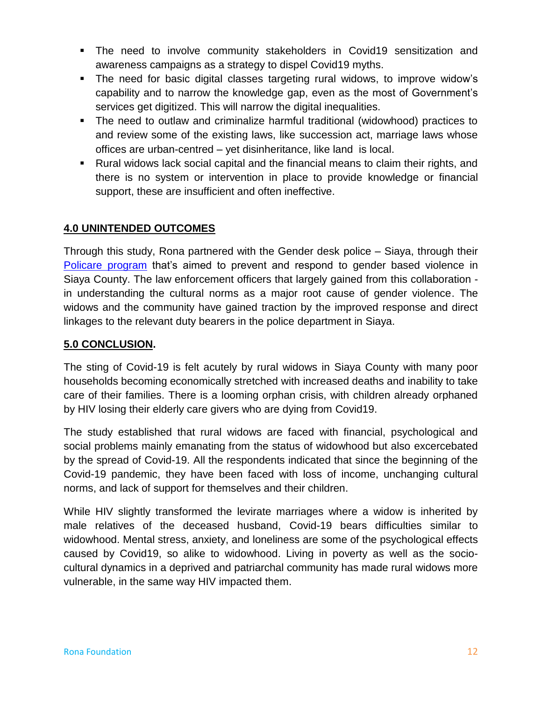- The need to involve community stakeholders in Covid19 sensitization and awareness campaigns as a strategy to dispel Covid19 myths.
- The need for basic digital classes targeting rural widows, to improve widow"s capability and to narrow the knowledge gap, even as the most of Government"s services get digitized. This will narrow the digital inequalities.
- The need to outlaw and criminalize harmful traditional (widowhood) practices to and review some of the existing laws, like succession act, marriage laws whose offices are urban-centred – yet disinheritance, like land is local.
- Rural widows lack social capital and the financial means to claim their rights, and there is no system or intervention in place to provide knowledge or financial support, these are insufficient and often ineffective.

# **4.0 UNINTENDED OUTCOMES**

Through this study, Rona partnered with the Gender desk police – Siaya, through their Policare [program](https://www.kenyapolice.go.ke/2015-09-08-17-56-33/news/108-news-from-communication-desk.html) that's aimed to prevent and respond to gender based violence in Siaya County. The law enforcement officers that largely gained from this collaboration in understanding the cultural norms as a major root cause of gender violence. The widows and the community have gained traction by the improved response and direct linkages to the relevant duty bearers in the police department in Siaya.

### **5.0 CONCLUSION.**

The sting of Covid-19 is felt acutely by rural widows in Siaya County with many poor households becoming economically stretched with increased deaths and inability to take care of their families. There is a looming orphan crisis, with children already orphaned by HIV losing their elderly care givers who are dying from Covid19.

The study established that rural widows are faced with financial, psychological and social problems mainly emanating from the status of widowhood but also excercebated by the spread of Covid-19. All the respondents indicated that since the beginning of the Covid-19 pandemic, they have been faced with loss of income, unchanging cultural norms, and lack of support for themselves and their children.

While HIV slightly transformed the levirate marriages where a widow is inherited by male relatives of the deceased husband, Covid-19 bears difficulties similar to widowhood. Mental stress, anxiety, and loneliness are some of the psychological effects caused by Covid19, so alike to widowhood. Living in poverty as well as the sociocultural dynamics in a deprived and patriarchal community has made rural widows more vulnerable, in the same way HIV impacted them.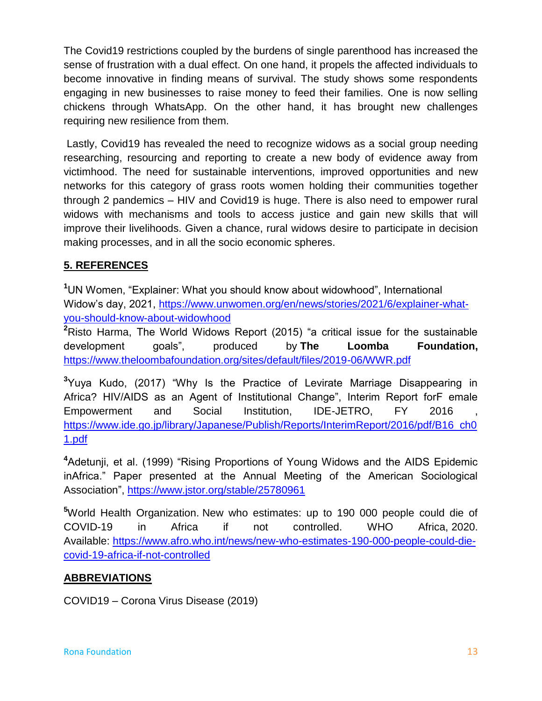The Covid19 restrictions coupled by the burdens of single parenthood has increased the sense of frustration with a dual effect. On one hand, it propels the affected individuals to become innovative in finding means of survival. The study shows some respondents engaging in new businesses to raise money to feed their families. One is now selling chickens through WhatsApp. On the other hand, it has brought new challenges requiring new resilience from them.

Lastly, Covid19 has revealed the need to recognize widows as a social group needing researching, resourcing and reporting to create a new body of evidence away from victimhood. The need for sustainable interventions, improved opportunities and new networks for this category of grass roots women holding their communities together through 2 pandemics – HIV and Covid19 is huge. There is also need to empower rural widows with mechanisms and tools to access justice and gain new skills that will improve their livelihoods. Given a chance, rural widows desire to participate in decision making processes, and in all the socio economic spheres.

# **5. REFERENCES**

**<sup>1</sup>**UN Women, "Explainer: What you should know about widowhood", International Widow"s day, 2021, [https://www.unwomen.org/en/news/stories/2021/6/explainer-what](https://www.unwomen.org/en/news/stories/2021/6/explainer-what-you-should-know-about-widowhood)[you-should-know-about-widowhood](https://www.unwomen.org/en/news/stories/2021/6/explainer-what-you-should-know-about-widowhood)

**<sup>2</sup>**Risto Harma, The World Widows Report (2015) "a critical issue for the sustainable development goals", produced by **The Loomba Foundation,**  <https://www.theloombafoundation.org/sites/default/files/2019-06/WWR.pdf>

**<sup>3</sup>**Yuya Kudo, (2017) "Why Is the Practice of Levirate Marriage Disappearing in Africa? HIV/AIDS as an Agent of Institutional Change", Interim Report forF emale Empowerment and Social Institution, IDE-JETRO, FY 2016 [https://www.ide.go.jp/library/Japanese/Publish/Reports/InterimReport/2016/pdf/B16\\_ch0](https://www.ide.go.jp/library/Japanese/Publish/Reports/InterimReport/2016/pdf/B16_ch01.pdf) [1.pdf](https://www.ide.go.jp/library/Japanese/Publish/Reports/InterimReport/2016/pdf/B16_ch01.pdf)

**<sup>4</sup>**Adetunji, et al. (1999) "Rising Proportions of Young Widows and the AIDS Epidemic inAfrica." Paper presented at the Annual Meeting of the American Sociological Association",<https://www.jstor.org/stable/25780961>

**<sup>5</sup>**World Health Organization. New who estimates: up to 190 000 people could die of COVID-19 in Africa if not controlled. WHO Africa, 2020. Available: [https://www.afro.who.int/news/new-who-estimates-190-000-people-could-die](https://www.afro.who.int/news/new-who-estimates-190-000-people-could-die-covid-19-africa-if-not-controlled)[covid-19-africa-if-not-controlled](https://www.afro.who.int/news/new-who-estimates-190-000-people-could-die-covid-19-africa-if-not-controlled)

### **ABBREVIATIONS**

COVID19 – Corona Virus Disease (2019)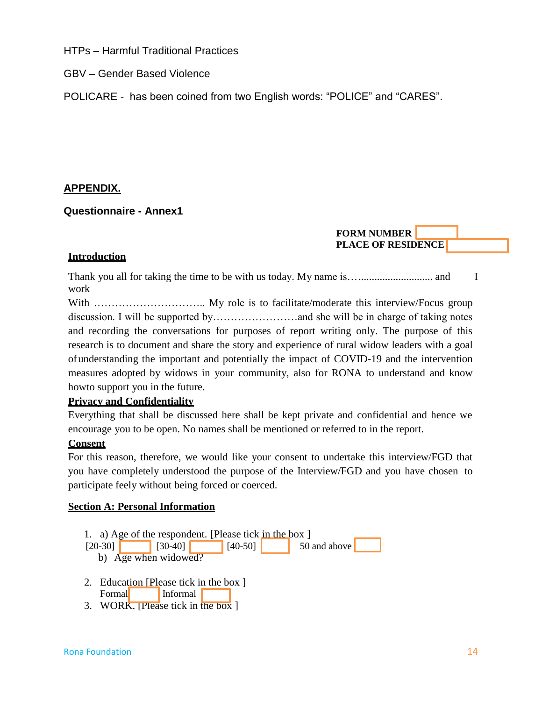HTPs – Harmful Traditional Practices

GBV – Gender Based Violence

POLICARE - has been coined from two English words: "POLICE" and "CARES".

### **APPENDIX.**

### **Questionnaire - Annex1**

**FORM NUMBER PLACE OF RESIDENCE**

### **Introduction**

Thank you all for taking the time to be with us today. My name is…............................ and I work

With ………………………….. My role is to facilitate/moderate this interview/Focus group discussion. I will be supported by……………………and she will be in charge of taking notes and recording the conversations for purposes of report writing only. The purpose of this research is to document and share the story and experience of rural widow leaders with a goal ofunderstanding the important and potentially the impact of COVID-19 and the intervention measures adopted by widows in your community, also for RONA to understand and know howto support you in the future.

### **Privacy and Confidentiality**

Everything that shall be discussed here shall be kept private and confidential and hence we encourage you to be open. No names shall be mentioned or referred to in the report.

### **Consent**

For this reason, therefore, we would like your consent to undertake this interview/FGD that you have completely understood the purpose of the Interview/FGD and you have chosen to participate feely without being forced or coerced.

### **Section A: Personal Information**

1. a) Age of the respondent. [Please tick in the box ]

- $[20-30]$   $[30-40]$   $[40-50]$  50 and above
	- b) Age when widowed?
- 2. Education [Please tick in the box ] Formal Informal
- 3. WORK. [Please tick in the box ]